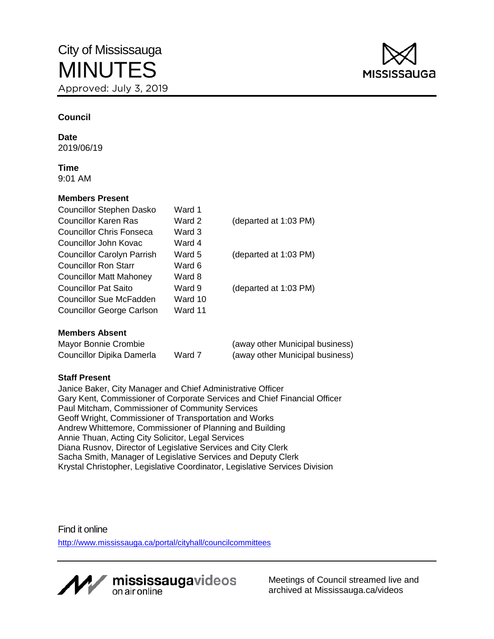

# **Council**

**Date** 2019/06/19

**Time** 9:01 AM

## **Members Present**

| Councillor Stephen Dasko          | Ward 1  |                       |
|-----------------------------------|---------|-----------------------|
| <b>Councillor Karen Ras</b>       | Ward 2  | (departed at 1:03 PM) |
| Councillor Chris Fonseca          | Ward 3  |                       |
| Councillor John Kovac             | Ward 4  |                       |
| <b>Councillor Carolyn Parrish</b> | Ward 5  | (departed at 1:03 PM) |
| Councillor Ron Starr              | Ward 6  |                       |
| <b>Councillor Matt Mahoney</b>    | Ward 8  |                       |
| Councillor Pat Saito              | Ward 9  | (departed at 1:03 PM) |
| Councillor Sue McFadden           | Ward 10 |                       |
| <b>Councillor George Carlson</b>  | Ward 11 |                       |
| <b>Members Absent</b>             |         |                       |

| Mayor Bonnie Crombie      |        | (away other Municipal business) |
|---------------------------|--------|---------------------------------|
| Councillor Dipika Damerla | Ward 7 | (away other Municipal business) |

# **Staff Present**

Janice Baker, City Manager and Chief Administrative Officer Gary Kent, Commissioner of Corporate Services and Chief Financial Officer Paul Mitcham, Commissioner of Community Services Geoff Wright, Commissioner of Transportation and Works Andrew Whittemore, Commissioner of Planning and Building Annie Thuan, Acting City Solicitor, Legal Services Diana Rusnov, Director of Legislative Services and City Clerk Sacha Smith, Manager of Legislative Services and Deputy Clerk Krystal Christopher, Legislative Coordinator, Legislative Services Division

Find it online

<http://www.mississauga.ca/portal/cityhall/councilcommittees>



Meetings of Council streamed live and archived at Mississauga.ca/videos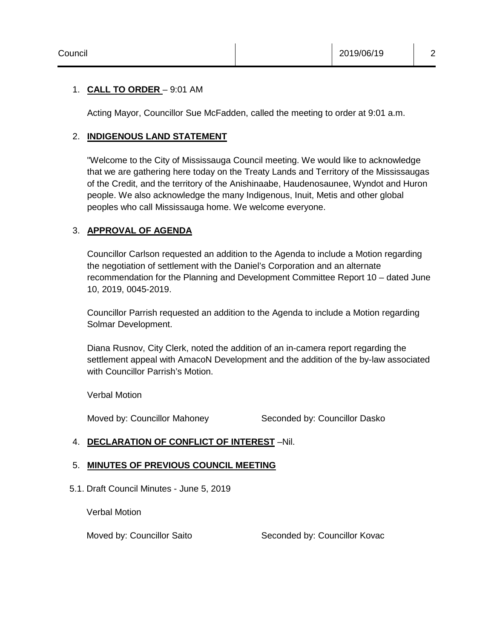# 1. **CALL TO ORDER** – 9:01 AM

Acting Mayor, Councillor Sue McFadden, called the meeting to order at 9:01 a.m.

# 2. **INDIGENOUS LAND STATEMENT**

"Welcome to the City of Mississauga Council meeting. We would like to acknowledge that we are gathering here today on the Treaty Lands and Territory of the Mississaugas of the Credit, and the territory of the Anishinaabe, Haudenosaunee, Wyndot and Huron people. We also acknowledge the many Indigenous, Inuit, Metis and other global peoples who call Mississauga home. We welcome everyone.

# 3. **APPROVAL OF AGENDA**

Councillor Carlson requested an addition to the Agenda to include a Motion regarding the negotiation of settlement with the Daniel's Corporation and an alternate recommendation for the Planning and Development Committee Report 10 – dated June 10, 2019, 0045-2019.

Councillor Parrish requested an addition to the Agenda to include a Motion regarding Solmar Development.

Diana Rusnov, City Clerk, noted the addition of an in-camera report regarding the settlement appeal with AmacoN Development and the addition of the by-law associated with Councillor Parrish's Motion.

Verbal Motion

Moved by: Councillor Mahoney Seconded by: Councillor Dasko

# 4. **DECLARATION OF CONFLICT OF INTEREST** –Nil.

## 5. **MINUTES OF PREVIOUS COUNCIL MEETING**

5.1. Draft Council Minutes - June 5, 2019

Verbal Motion

Moved by: Councillor Saito Seconded by: Councillor Kovac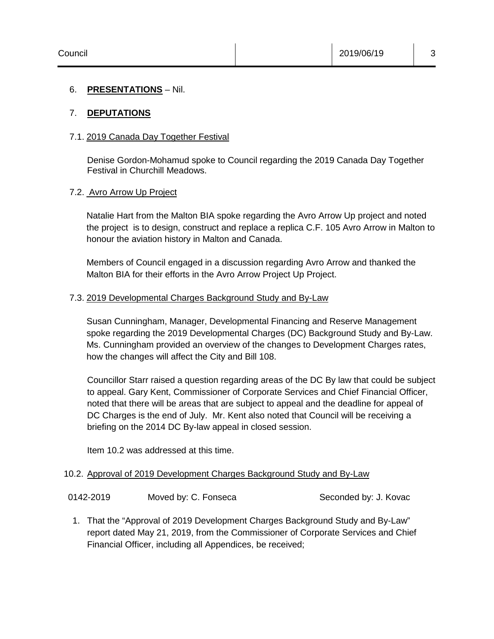## 6. **PRESENTATIONS** – Nil.

# 7. **DEPUTATIONS**

## 7.1. 2019 Canada Day Together Festival

Denise Gordon-Mohamud spoke to Council regarding the 2019 Canada Day Together Festival in Churchill Meadows.

## 7.2. Avro Arrow Up Project

Natalie Hart from the Malton BIA spoke regarding the Avro Arrow Up project and noted the project is to design, construct and replace a replica C.F. 105 Avro Arrow in Malton to honour the aviation history in Malton and Canada.

Members of Council engaged in a discussion regarding Avro Arrow and thanked the Malton BIA for their efforts in the Avro Arrow Project Up Project.

# 7.3. 2019 Developmental Charges Background Study and By-Law

Susan Cunningham, Manager, Developmental Financing and Reserve Management spoke regarding the 2019 Developmental Charges (DC) Background Study and By-Law. Ms. Cunningham provided an overview of the changes to Development Charges rates, how the changes will affect the City and Bill 108.

Councillor Starr raised a question regarding areas of the DC By law that could be subject to appeal. Gary Kent, Commissioner of Corporate Services and Chief Financial Officer, noted that there will be areas that are subject to appeal and the deadline for appeal of DC Charges is the end of July. Mr. Kent also noted that Council will be receiving a briefing on the 2014 DC By-law appeal in closed session.

Item 10.2 was addressed at this time.

## 10.2. Approval of 2019 Development Charges Background Study and By-Law

| 0142-2019 | Moved by: C. Fonseca | Seconded by: J. Kovac |
|-----------|----------------------|-----------------------|
|-----------|----------------------|-----------------------|

1. That the "Approval of 2019 Development Charges Background Study and By-Law" report dated May 21, 2019, from the Commissioner of Corporate Services and Chief Financial Officer, including all Appendices, be received;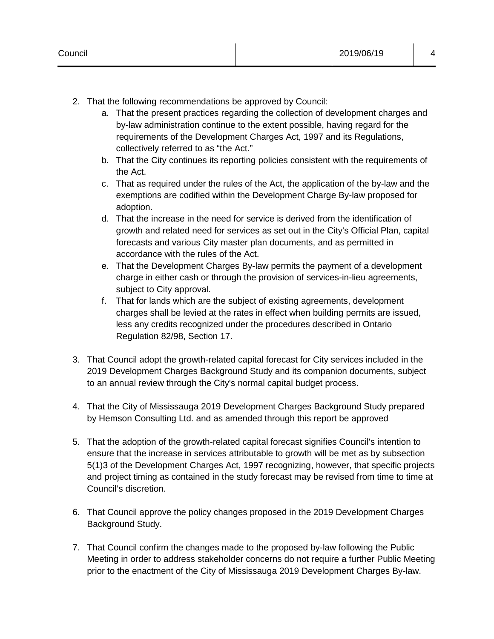- a. That the present practices regarding the collection of development charges and by-law administration continue to the extent possible, having regard for the requirements of the Development Charges Act, 1997 and its Regulations, collectively referred to as "the Act."
- b. That the City continues its reporting policies consistent with the requirements of the Act.
- c. That as required under the rules of the Act, the application of the by-law and the exemptions are codified within the Development Charge By-law proposed for adoption.
- d. That the increase in the need for service is derived from the identification of growth and related need for services as set out in the City's Official Plan, capital forecasts and various City master plan documents, and as permitted in accordance with the rules of the Act.
- e. That the Development Charges By-law permits the payment of a development charge in either cash or through the provision of services-in-lieu agreements, subject to City approval.
- f. That for lands which are the subject of existing agreements, development charges shall be levied at the rates in effect when building permits are issued, less any credits recognized under the procedures described in Ontario Regulation 82/98, Section 17.
- 3. That Council adopt the growth-related capital forecast for City services included in the 2019 Development Charges Background Study and its companion documents, subject to an annual review through the City's normal capital budget process.
- 4. That the City of Mississauga 2019 Development Charges Background Study prepared by Hemson Consulting Ltd. and as amended through this report be approved
- 5. That the adoption of the growth-related capital forecast signifies Council's intention to ensure that the increase in services attributable to growth will be met as by subsection 5(1)3 of the Development Charges Act, 1997 recognizing, however, that specific projects and project timing as contained in the study forecast may be revised from time to time at Council's discretion.
- 6. That Council approve the policy changes proposed in the 2019 Development Charges Background Study.
- 7. That Council confirm the changes made to the proposed by-law following the Public Meeting in order to address stakeholder concerns do not require a further Public Meeting prior to the enactment of the City of Mississauga 2019 Development Charges By-law.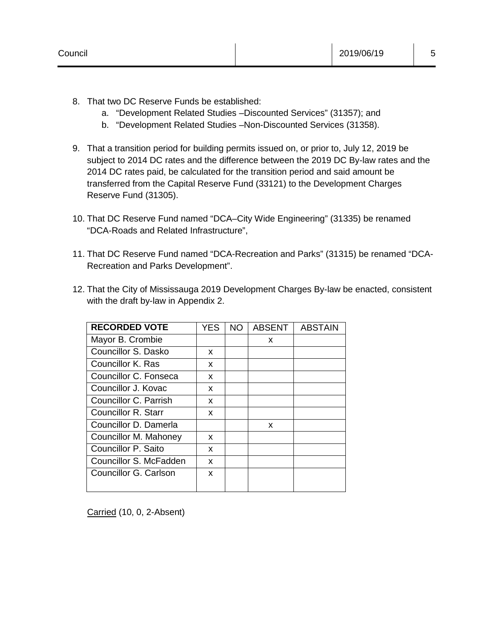- 8. That two DC Reserve Funds be established:
	- a. "Development Related Studies –Discounted Services" (31357); and
	- b. "Development Related Studies –Non-Discounted Services (31358).
- 9. That a transition period for building permits issued on, or prior to, July 12, 2019 be subject to 2014 DC rates and the difference between the 2019 DC By-law rates and the 2014 DC rates paid, be calculated for the transition period and said amount be transferred from the Capital Reserve Fund (33121) to the Development Charges Reserve Fund (31305).
- 10. That DC Reserve Fund named "DCA–City Wide Engineering" (31335) be renamed "DCA-Roads and Related Infrastructure",
- 11. That DC Reserve Fund named "DCA-Recreation and Parks" (31315) be renamed "DCA-Recreation and Parks Development".
- 12. That the City of Mississauga 2019 Development Charges By-law be enacted, consistent with the draft by-law in Appendix 2.

| <b>RECORDED VOTE</b>   | YES. | NO. | <b>ABSENT</b> | <b>ABSTAIN</b> |
|------------------------|------|-----|---------------|----------------|
| Mayor B. Crombie       |      |     | x             |                |
| Councillor S. Dasko    | x    |     |               |                |
| Councillor K. Ras      | x    |     |               |                |
| Councillor C. Fonseca  | X    |     |               |                |
| Councillor J. Kovac    | x    |     |               |                |
| Councillor C. Parrish  | x    |     |               |                |
| Councillor R. Starr    | X    |     |               |                |
| Councillor D. Damerla  |      |     | x             |                |
| Councillor M. Mahoney  | x    |     |               |                |
| Councillor P. Saito    | x    |     |               |                |
| Councillor S. McFadden | x    |     |               |                |
| Councillor G. Carlson  | x    |     |               |                |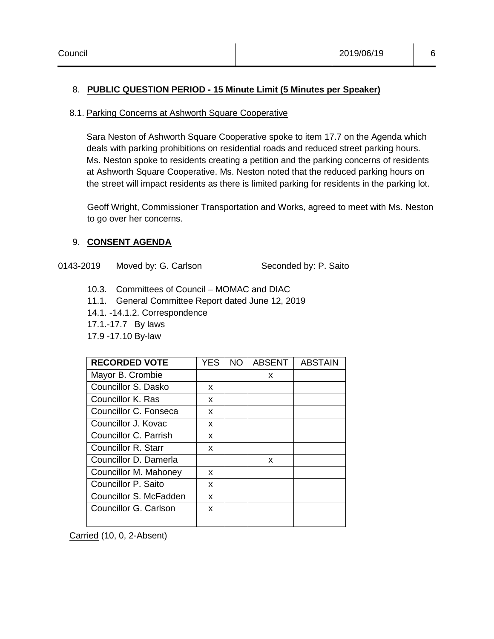# 8. **PUBLIC QUESTION PERIOD - 15 Minute Limit (5 Minutes per Speaker)**

## 8.1. Parking Concerns at Ashworth Square Cooperative

Sara Neston of Ashworth Square Cooperative spoke to item 17.7 on the Agenda which deals with parking prohibitions on residential roads and reduced street parking hours. Ms. Neston spoke to residents creating a petition and the parking concerns of residents at Ashworth Square Cooperative. Ms. Neston noted that the reduced parking hours on the street will impact residents as there is limited parking for residents in the parking lot.

Geoff Wright, Commissioner Transportation and Works, agreed to meet with Ms. Neston to go over her concerns.

# 9. **CONSENT AGENDA**

0143-2019 Moved by: G. Carlson Seconded by: P. Saito

- 10.3. Committees of Council MOMAC and DIAC
- 11.1. General Committee Report dated June 12, 2019
- 14.1. -14.1.2. Correspondence
- 17.1.-17.7 By laws
- 17.9 -17.10 By-law

| <b>RECORDED VOTE</b>   | YES | NO. | <b>ABSENT</b> | <b>ABSTAIN</b> |
|------------------------|-----|-----|---------------|----------------|
| Mayor B. Crombie       |     |     | x             |                |
| Councillor S. Dasko    | x   |     |               |                |
| Councillor K. Ras      | x   |     |               |                |
| Councillor C. Fonseca  | x   |     |               |                |
| Councillor J. Kovac    | x   |     |               |                |
| Councillor C. Parrish  | x   |     |               |                |
| Councillor R. Starr    | x   |     |               |                |
| Councillor D. Damerla  |     |     | X             |                |
| Councillor M. Mahoney  | x   |     |               |                |
| Councillor P. Saito    | x   |     |               |                |
| Councillor S. McFadden | x   |     |               |                |
| Councillor G. Carlson  | X   |     |               |                |

Carried (10, 0, 2-Absent)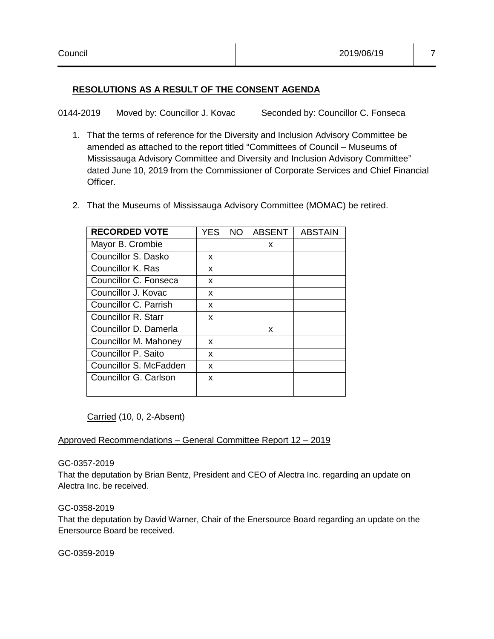# **RESOLUTIONS AS A RESULT OF THE CONSENT AGENDA**

0144-2019 Moved by: Councillor J. Kovac Seconded by: Councillor C. Fonseca

- 1. That the terms of reference for the Diversity and Inclusion Advisory Committee be amended as attached to the report titled "Committees of Council – Museums of Mississauga Advisory Committee and Diversity and Inclusion Advisory Committee" dated June 10, 2019 from the Commissioner of Corporate Services and Chief Financial Officer.
- 2. That the Museums of Mississauga Advisory Committee (MOMAC) be retired.

| <b>RECORDED VOTE</b>   | YES | <b>NO</b> | <b>ABSENT</b> | <b>ABSTAIN</b> |
|------------------------|-----|-----------|---------------|----------------|
| Mayor B. Crombie       |     |           | x             |                |
| Councillor S. Dasko    | x   |           |               |                |
| Councillor K. Ras      | x   |           |               |                |
| Councillor C. Fonseca  | X   |           |               |                |
| Councillor J. Kovac    | x   |           |               |                |
| Councillor C. Parrish  | x   |           |               |                |
| Councillor R. Starr    | x   |           |               |                |
| Councillor D. Damerla  |     |           | x             |                |
| Councillor M. Mahoney  | x   |           |               |                |
| Councillor P. Saito    | x   |           |               |                |
| Councillor S. McFadden | X   |           |               |                |
| Councillor G. Carlson  | x   |           |               |                |
|                        |     |           |               |                |

Carried (10, 0, 2-Absent)

## Approved Recommendations – General Committee Report 12 – 2019

## GC-0357-2019

That the deputation by Brian Bentz, President and CEO of Alectra Inc. regarding an update on Alectra Inc. be received.

## GC-0358-2019

That the deputation by David Warner, Chair of the Enersource Board regarding an update on the Enersource Board be received.

GC-0359-2019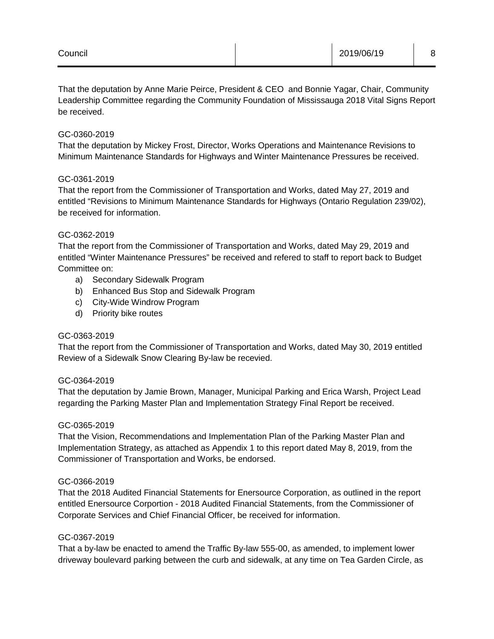## GC-0360-2019

That the deputation by Mickey Frost, Director, Works Operations and Maintenance Revisions to Minimum Maintenance Standards for Highways and Winter Maintenance Pressures be received.

#### GC-0361-2019

That the report from the Commissioner of Transportation and Works, dated May 27, 2019 and entitled "Revisions to Minimum Maintenance Standards for Highways (Ontario Regulation 239/02), be received for information.

#### GC-0362-2019

That the report from the Commissioner of Transportation and Works, dated May 29, 2019 and entitled "Winter Maintenance Pressures" be received and refered to staff to report back to Budget Committee on:

- a) Secondary Sidewalk Program
- b) Enhanced Bus Stop and Sidewalk Program
- c) City-Wide Windrow Program
- d) Priority bike routes

#### GC-0363-2019

That the report from the Commissioner of Transportation and Works, dated May 30, 2019 entitled Review of a Sidewalk Snow Clearing By-law be recevied.

#### GC-0364-2019

That the deputation by Jamie Brown, Manager, Municipal Parking and Erica Warsh, Project Lead regarding the Parking Master Plan and Implementation Strategy Final Report be received.

#### GC-0365-2019

That the Vision, Recommendations and Implementation Plan of the Parking Master Plan and Implementation Strategy, as attached as Appendix 1 to this report dated May 8, 2019, from the Commissioner of Transportation and Works, be endorsed.

#### GC-0366-2019

That the 2018 Audited Financial Statements for Enersource Corporation, as outlined in the report entitled Enersource Corportion - 2018 Audited Financial Statements, from the Commissioner of Corporate Services and Chief Financial Officer, be received for information.

#### GC-0367-2019

That a by-law be enacted to amend the Traffic By-law 555-00, as amended, to implement lower driveway boulevard parking between the curb and sidewalk, at any time on Tea Garden Circle, as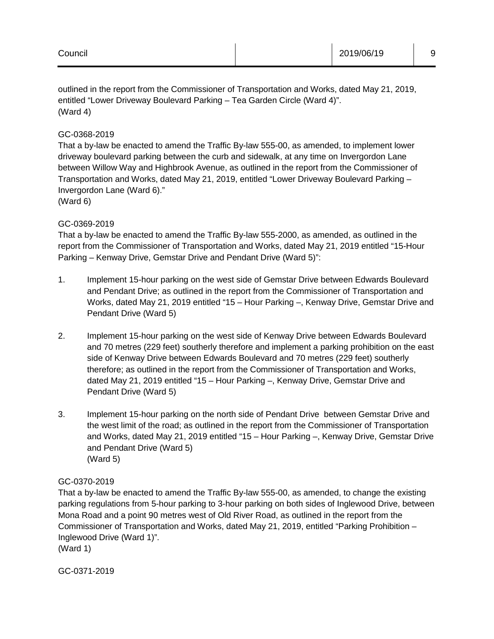outlined in the report from the Commissioner of Transportation and Works, dated May 21, 2019, entitled "Lower Driveway Boulevard Parking – Tea Garden Circle (Ward 4)". (Ward 4)

# GC-0368-2019

That a by-law be enacted to amend the Traffic By-law 555-00, as amended, to implement lower driveway boulevard parking between the curb and sidewalk, at any time on Invergordon Lane between Willow Way and Highbrook Avenue, as outlined in the report from the Commissioner of Transportation and Works, dated May 21, 2019, entitled "Lower Driveway Boulevard Parking – Invergordon Lane (Ward 6)."

(Ward 6)

## GC-0369-2019

That a by-law be enacted to amend the Traffic By-law 555-2000, as amended, as outlined in the report from the Commissioner of Transportation and Works, dated May 21, 2019 entitled "15-Hour Parking – Kenway Drive, Gemstar Drive and Pendant Drive (Ward 5)":

- 1. Implement 15-hour parking on the west side of Gemstar Drive between Edwards Boulevard and Pendant Drive; as outlined in the report from the Commissioner of Transportation and Works, dated May 21, 2019 entitled "15 – Hour Parking –, Kenway Drive, Gemstar Drive and Pendant Drive (Ward 5)
- 2. Implement 15-hour parking on the west side of Kenway Drive between Edwards Boulevard and 70 metres (229 feet) southerly therefore and implement a parking prohibition on the east side of Kenway Drive between Edwards Boulevard and 70 metres (229 feet) southerly therefore; as outlined in the report from the Commissioner of Transportation and Works, dated May 21, 2019 entitled "15 – Hour Parking –, Kenway Drive, Gemstar Drive and Pendant Drive (Ward 5)
- 3. Implement 15-hour parking on the north side of Pendant Drive between Gemstar Drive and the west limit of the road; as outlined in the report from the Commissioner of Transportation and Works, dated May 21, 2019 entitled "15 – Hour Parking –, Kenway Drive, Gemstar Drive and Pendant Drive (Ward 5) (Ward 5)

## GC-0370-2019

That a by-law be enacted to amend the Traffic By-law 555-00, as amended, to change the existing parking regulations from 5-hour parking to 3-hour parking on both sides of Inglewood Drive, between Mona Road and a point 90 metres west of Old River Road, as outlined in the report from the Commissioner of Transportation and Works, dated May 21, 2019, entitled "Parking Prohibition – Inglewood Drive (Ward 1)".

(Ward 1)

GC-0371-2019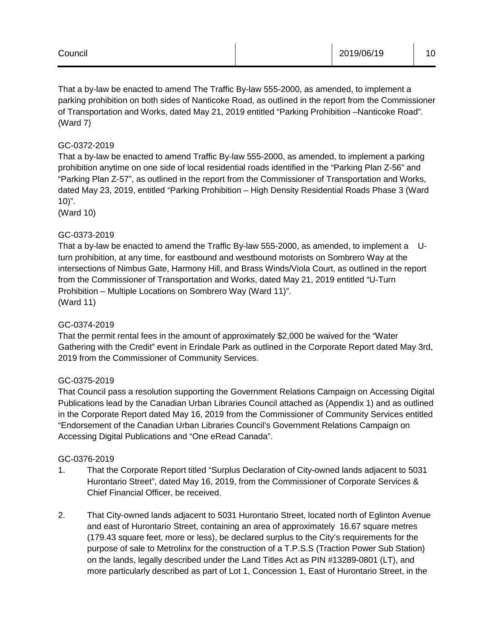That a by-law be enacted to amend The Traffic By-law 555-2000, as amended, to implement a parking prohibition on both sides of Nanticoke Road, as outlined in the report from the Commissioner of Transportation and Works, dated May 21, 2019 entitled "Parking Prohibition –Nanticoke Road". (Ward 7)

# GC-0372-2019

That a by-law be enacted to amend Traffic By-law 555-2000, as amended, to implement a parking prohibition anytime on one side of local residential roads identified in the "Parking Plan Z-56" and "Parking Plan Z-57", as outlined in the report from the Commissioner of Transportation and Works, dated May 23, 2019, entitled "Parking Prohibition – High Density Residential Roads Phase 3 (Ward  $10$ ".

(Ward 10)

# GC-0373-2019

That a by-law be enacted to amend the Traffic By-law 555-2000, as amended, to implement a Uturn prohibition, at any time, for eastbound and westbound motorists on Sombrero Way at the intersections of Nimbus Gate, Harmony Hill, and Brass Winds/Viola Court, as outlined in the report from the Commissioner of Transportation and Works, dated May 21, 2019 entitled "U-Turn Prohibition – Multiple Locations on Sombrero Way (Ward 11)". (Ward 11)

## GC-0374-2019

That the permit rental fees in the amount of approximately \$2,000 be waived for the "Water Gathering with the Credit" event in Erindale Park as outlined in the Corporate Report dated May 3rd, 2019 from the Commissioner of Community Services.

## GC-0375-2019

That Council pass a resolution supporting the Government Relations Campaign on Accessing Digital Publications lead by the Canadian Urban Libraries Council attached as (Appendix 1) and as outlined in the Corporate Report dated May 16, 2019 from the Commissioner of Community Services entitled "Endorsement of the Canadian Urban Libraries Council's Government Relations Campaign on Accessing Digital Publications and "One eRead Canada".

## GC-0376-2019

- 1. That the Corporate Report titled "Surplus Declaration of City-owned lands adjacent to 5031 Hurontario Street", dated May 16, 2019, from the Commissioner of Corporate Services & Chief Financial Officer, be received.
- 2. That City-owned lands adjacent to 5031 Hurontario Street, located north of Eglinton Avenue and east of Hurontario Street, containing an area of approximately 16.67 square metres (179.43 square feet, more or less), be declared surplus to the City's requirements for the purpose of sale to Metrolinx for the construction of a T.P.S.S (Traction Power Sub Station) on the lands, legally described under the Land Titles Act as PIN #13289-0801 (LT), and more particularly described as part of Lot 1, Concession 1, East of Hurontario Street, in the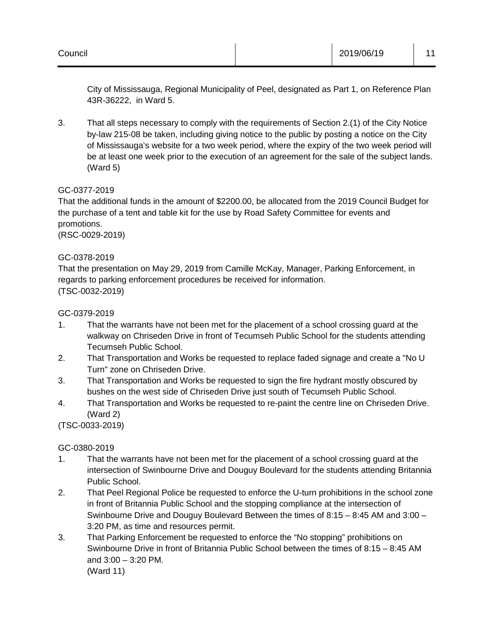City of Mississauga, Regional Municipality of Peel, designated as Part 1, on Reference Plan 43R-36222, in Ward 5.

3. That all steps necessary to comply with the requirements of Section 2.(1) of the City Notice by-law 215-08 be taken, including giving notice to the public by posting a notice on the City of Mississauga's website for a two week period, where the expiry of the two week period will be at least one week prior to the execution of an agreement for the sale of the subject lands. (Ward 5)

# GC-0377-2019

That the additional funds in the amount of \$2200.00, be allocated from the 2019 Council Budget for the purchase of a tent and table kit for the use by Road Safety Committee for events and promotions. (RSC-0029-2019)

# GC-0378-2019

That the presentation on May 29, 2019 from Camille McKay, Manager, Parking Enforcement, in regards to parking enforcement procedures be received for information. (TSC-0032-2019)

# GC-0379-2019

- 1. That the warrants have not been met for the placement of a school crossing guard at the walkway on Chriseden Drive in front of Tecumseh Public School for the students attending Tecumseh Public School.
- 2. That Transportation and Works be requested to replace faded signage and create a "No U Turn" zone on Chriseden Drive.
- 3. That Transportation and Works be requested to sign the fire hydrant mostly obscured by bushes on the west side of Chriseden Drive just south of Tecumseh Public School.
- 4. That Transportation and Works be requested to re-paint the centre line on Chriseden Drive. (Ward 2)

(TSC-0033-2019)

# GC-0380-2019

- 1. That the warrants have not been met for the placement of a school crossing guard at the intersection of Swinbourne Drive and Douguy Boulevard for the students attending Britannia Public School.
- 2. That Peel Regional Police be requested to enforce the U-turn prohibitions in the school zone in front of Britannia Public School and the stopping compliance at the intersection of Swinbourne Drive and Douguy Boulevard Between the times of 8:15 – 8:45 AM and 3:00 – 3:20 PM, as time and resources permit.
- 3. That Parking Enforcement be requested to enforce the "No stopping" prohibitions on Swinbourne Drive in front of Britannia Public School between the times of 8:15 – 8:45 AM and 3:00 – 3:20 PM.

(Ward 11)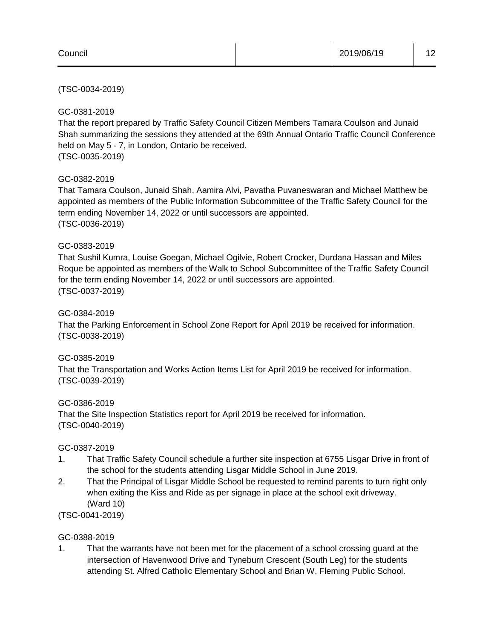## (TSC-0034-2019)

## GC-0381-2019

That the report prepared by Traffic Safety Council Citizen Members Tamara Coulson and Junaid Shah summarizing the sessions they attended at the 69th Annual Ontario Traffic Council Conference held on May 5 - 7, in London, Ontario be received. (TSC-0035-2019)

## GC-0382-2019

That Tamara Coulson, Junaid Shah, Aamira Alvi, Pavatha Puvaneswaran and Michael Matthew be appointed as members of the Public Information Subcommittee of the Traffic Safety Council for the term ending November 14, 2022 or until successors are appointed. (TSC-0036-2019)

#### GC-0383-2019

That Sushil Kumra, Louise Goegan, Michael Ogilvie, Robert Crocker, Durdana Hassan and Miles Roque be appointed as members of the Walk to School Subcommittee of the Traffic Safety Council for the term ending November 14, 2022 or until successors are appointed. (TSC-0037-2019)

#### GC-0384-2019

That the Parking Enforcement in School Zone Report for April 2019 be received for information. (TSC-0038-2019)

#### GC-0385-2019

That the Transportation and Works Action Items List for April 2019 be received for information. (TSC-0039-2019)

#### GC-0386-2019

That the Site Inspection Statistics report for April 2019 be received for information. (TSC-0040-2019)

#### GC-0387-2019

- 1. That Traffic Safety Council schedule a further site inspection at 6755 Lisgar Drive in front of the school for the students attending Lisgar Middle School in June 2019.
- 2. That the Principal of Lisgar Middle School be requested to remind parents to turn right only when exiting the Kiss and Ride as per signage in place at the school exit driveway. (Ward 10)

## (TSC-0041-2019)

## GC-0388-2019

1. That the warrants have not been met for the placement of a school crossing guard at the intersection of Havenwood Drive and Tyneburn Crescent (South Leg) for the students attending St. Alfred Catholic Elementary School and Brian W. Fleming Public School.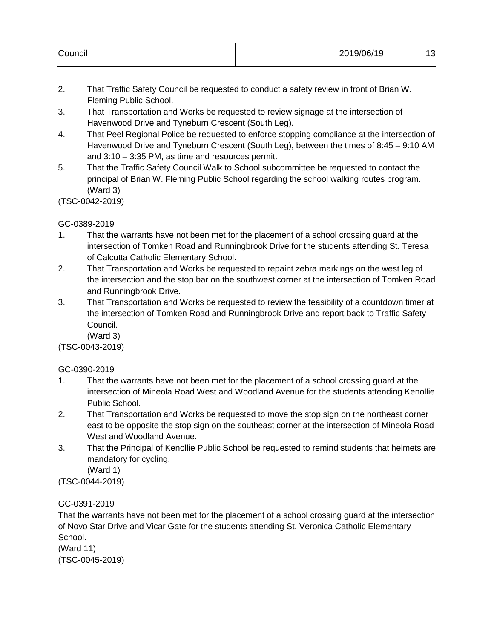- 2. That Traffic Safety Council be requested to conduct a safety review in front of Brian W. Fleming Public School.
- 3. That Transportation and Works be requested to review signage at the intersection of Havenwood Drive and Tyneburn Crescent (South Leg).
- 4. That Peel Regional Police be requested to enforce stopping compliance at the intersection of Havenwood Drive and Tyneburn Crescent (South Leg), between the times of 8:45 – 9:10 AM and 3:10 – 3:35 PM, as time and resources permit.
- 5. That the Traffic Safety Council Walk to School subcommittee be requested to contact the principal of Brian W. Fleming Public School regarding the school walking routes program. (Ward 3)

(TSC-0042-2019)

# GC-0389-2019

- 1. That the warrants have not been met for the placement of a school crossing guard at the intersection of Tomken Road and Runningbrook Drive for the students attending St. Teresa of Calcutta Catholic Elementary School.
- 2. That Transportation and Works be requested to repaint zebra markings on the west leg of the intersection and the stop bar on the southwest corner at the intersection of Tomken Road and Runningbrook Drive.
- 3. That Transportation and Works be requested to review the feasibility of a countdown timer at the intersection of Tomken Road and Runningbrook Drive and report back to Traffic Safety Council.
	- (Ward 3)

(TSC-0043-2019)

# GC-0390-2019

- 1. That the warrants have not been met for the placement of a school crossing guard at the intersection of Mineola Road West and Woodland Avenue for the students attending Kenollie Public School.
- 2. That Transportation and Works be requested to move the stop sign on the northeast corner east to be opposite the stop sign on the southeast corner at the intersection of Mineola Road West and Woodland Avenue.
- 3. That the Principal of Kenollie Public School be requested to remind students that helmets are mandatory for cycling.

(Ward 1)

(TSC-0044-2019)

# GC-0391-2019

That the warrants have not been met for the placement of a school crossing guard at the intersection of Novo Star Drive and Vicar Gate for the students attending St. Veronica Catholic Elementary School.

(Ward 11) (TSC-0045-2019)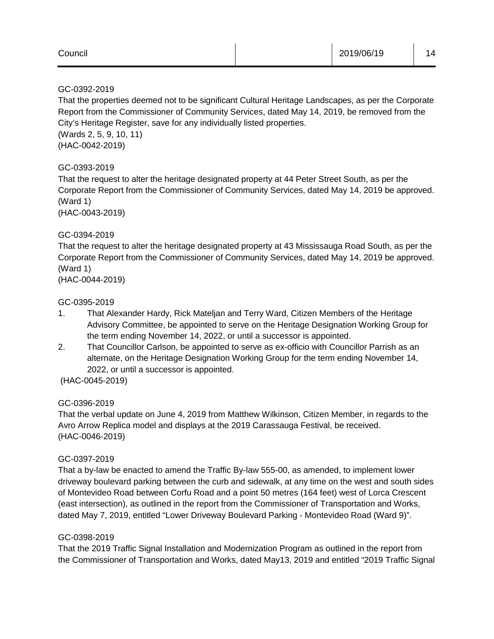| Council |  | 2019/06/19 | 14 |
|---------|--|------------|----|
|---------|--|------------|----|

## GC-0392-2019

That the properties deemed not to be significant Cultural Heritage Landscapes, as per the Corporate Report from the Commissioner of Community Services, dated May 14, 2019, be removed from the City's Heritage Register, save for any individually listed properties.

(Wards 2, 5, 9, 10, 11) (HAC-0042-2019)

# GC-0393-2019

That the request to alter the heritage designated property at 44 Peter Street South, as per the Corporate Report from the Commissioner of Community Services, dated May 14, 2019 be approved. (Ward 1)

(HAC-0043-2019)

# GC-0394-2019

That the request to alter the heritage designated property at 43 Mississauga Road South, as per the Corporate Report from the Commissioner of Community Services, dated May 14, 2019 be approved. (Ward 1)

(HAC-0044-2019)

# GC-0395-2019

- 1. That Alexander Hardy, Rick Mateljan and Terry Ward, Citizen Members of the Heritage Advisory Committee, be appointed to serve on the Heritage Designation Working Group for the term ending November 14, 2022, or until a successor is appointed.
- 2. That Councillor Carlson, be appointed to serve as ex-officio with Councillor Parrish as an alternate, on the Heritage Designation Working Group for the term ending November 14, 2022, or until a successor is appointed.
- (HAC-0045-2019)

# GC-0396-2019

That the verbal update on June 4, 2019 from Matthew Wilkinson, Citizen Member, in regards to the Avro Arrow Replica model and displays at the 2019 Carassauga Festival, be received. (HAC-0046-2019)

## GC-0397-2019

That a by-law be enacted to amend the Traffic By-law 555-00, as amended, to implement lower driveway boulevard parking between the curb and sidewalk, at any time on the west and south sides of Montevideo Road between Corfu Road and a point 50 metres (164 feet) west of Lorca Crescent (east intersection), as outlined in the report from the Commissioner of Transportation and Works, dated May 7, 2019, entitled "Lower Driveway Boulevard Parking - Montevideo Road (Ward 9)".

## GC-0398-2019

That the 2019 Traffic Signal Installation and Modernization Program as outlined in the report from the Commissioner of Transportation and Works, dated May13, 2019 and entitled "2019 Traffic Signal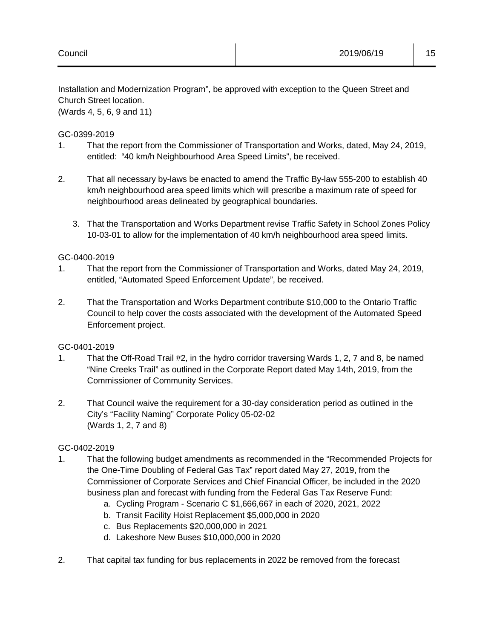Installation and Modernization Program", be approved with exception to the Queen Street and Church Street location.

(Wards 4, 5, 6, 9 and 11)

GC-0399-2019

- 1. That the report from the Commissioner of Transportation and Works, dated, May 24, 2019, entitled: "40 km/h Neighbourhood Area Speed Limits", be received.
- 2. That all necessary by-laws be enacted to amend the Traffic By-law 555-200 to establish 40 km/h neighbourhood area speed limits which will prescribe a maximum rate of speed for neighbourhood areas delineated by geographical boundaries.
	- 3. That the Transportation and Works Department revise Traffic Safety in School Zones Policy 10-03-01 to allow for the implementation of 40 km/h neighbourhood area speed limits.

# GC-0400-2019

- 1. That the report from the Commissioner of Transportation and Works, dated May 24, 2019, entitled, "Automated Speed Enforcement Update", be received.
- 2. That the Transportation and Works Department contribute \$10,000 to the Ontario Traffic Council to help cover the costs associated with the development of the Automated Speed Enforcement project.

## GC-0401-2019

- 1. That the Off-Road Trail #2, in the hydro corridor traversing Wards 1, 2, 7 and 8, be named "Nine Creeks Trail" as outlined in the Corporate Report dated May 14th, 2019, from the Commissioner of Community Services.
- 2. That Council waive the requirement for a 30-day consideration period as outlined in the City's "Facility Naming" Corporate Policy 05-02-02 (Wards 1, 2, 7 and 8)

# GC-0402-2019

- 1. That the following budget amendments as recommended in the "Recommended Projects for the One-Time Doubling of Federal Gas Tax" report dated May 27, 2019, from the Commissioner of Corporate Services and Chief Financial Officer, be included in the 2020 business plan and forecast with funding from the Federal Gas Tax Reserve Fund:
	- a. Cycling Program Scenario C \$1,666,667 in each of 2020, 2021, 2022
	- b. Transit Facility Hoist Replacement \$5,000,000 in 2020
	- c. Bus Replacements \$20,000,000 in 2021
	- d. Lakeshore New Buses \$10,000,000 in 2020
- 2. That capital tax funding for bus replacements in 2022 be removed from the forecast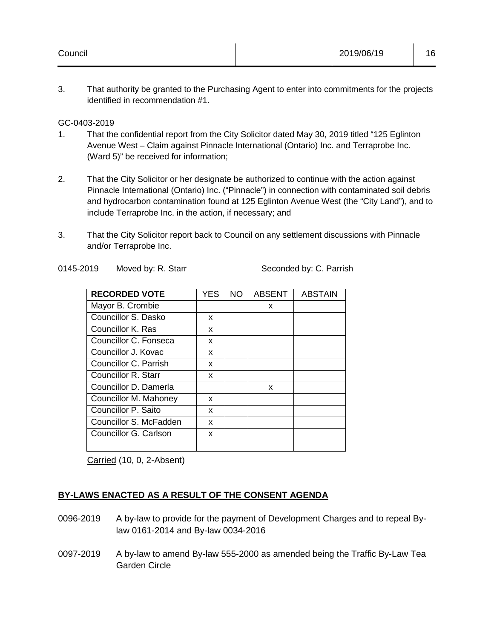3. That authority be granted to the Purchasing Agent to enter into commitments for the projects identified in recommendation #1.

## GC-0403-2019

- 1. That the confidential report from the City Solicitor dated May 30, 2019 titled "125 Eglinton Avenue West – Claim against Pinnacle International (Ontario) Inc. and Terraprobe Inc. (Ward 5)" be received for information;
- 2. That the City Solicitor or her designate be authorized to continue with the action against Pinnacle International (Ontario) Inc. ("Pinnacle") in connection with contaminated soil debris and hydrocarbon contamination found at 125 Eglinton Avenue West (the "City Land"), and to include Terraprobe Inc. in the action, if necessary; and
- 3. That the City Solicitor report back to Council on any settlement discussions with Pinnacle and/or Terraprobe Inc.

Seconded by: C. Parrish

| <b>RECORDED VOTE</b>   | YES | NO. | <b>ABSENT</b> | <b>ABSTAIN</b> |
|------------------------|-----|-----|---------------|----------------|
| Mayor B. Crombie       |     |     | X             |                |
| Councillor S. Dasko    | x   |     |               |                |
| Councillor K. Ras      | x   |     |               |                |
| Councillor C. Fonseca  | X   |     |               |                |
| Councillor J. Kovac    | x   |     |               |                |
| Councillor C. Parrish  | X   |     |               |                |
| Councillor R. Starr    | x   |     |               |                |
| Councillor D. Damerla  |     |     | x             |                |
| Councillor M. Mahoney  | X   |     |               |                |
| Councillor P. Saito    | x   |     |               |                |
| Councillor S. McFadden | x   |     |               |                |
| Councillor G. Carlson  | x   |     |               |                |
|                        |     |     |               |                |

Carried (10, 0, 2-Absent)

# **BY-LAWS ENACTED AS A RESULT OF THE CONSENT AGENDA**

- 0096-2019 A by-law to provide for the payment of Development Charges and to repeal Bylaw 0161-2014 and By-law 0034-2016
- 0097-2019 A by-law to amend By-law 555-2000 as amended being the Traffic By-Law Tea Garden Circle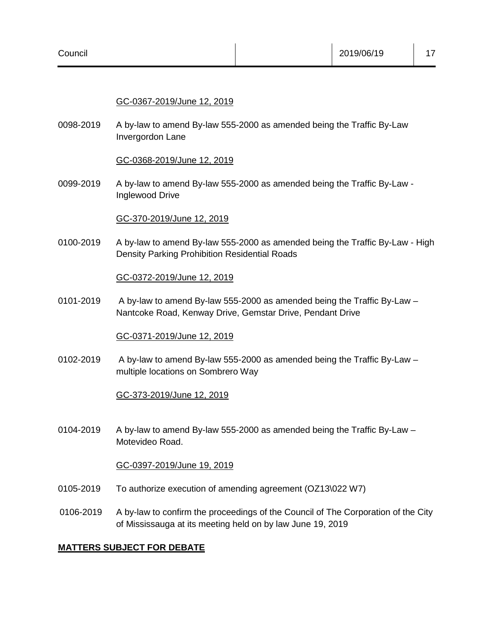# GC-0367-2019/June 12, 2019

0098-2019 A by-law to amend By-law 555-2000 as amended being the Traffic By-Law Invergordon Lane

#### GC-0368-2019/June 12, 2019

0099-2019 A by-law to amend By-law 555-2000 as amended being the Traffic By-Law - Inglewood Drive

## GC-370-2019/June 12, 2019

0100-2019 A by-law to amend By-law 555-2000 as amended being the Traffic By-Law - High Density Parking Prohibition Residential Roads

#### GC-0372-2019/June 12, 2019

0101-2019 A by-law to amend By-law 555-2000 as amended being the Traffic By-Law – Nantcoke Road, Kenway Drive, Gemstar Drive, Pendant Drive

#### GC-0371-2019/June 12, 2019

0102-2019 A by-law to amend By-law 555-2000 as amended being the Traffic By-Law – multiple locations on Sombrero Way

## GC-373-2019/June 12, 2019

0104-2019 A by-law to amend By-law 555-2000 as amended being the Traffic By-Law – Motevideo Road.

## GC-0397-2019/June 19, 2019

- 0105-2019 To authorize execution of amending agreement (OZ13\022 W7)
- 0106-2019 A by-law to confirm the proceedings of the Council of The Corporation of the City of Mississauga at its meeting held on by law June 19, 2019

## **MATTERS SUBJECT FOR DEBATE**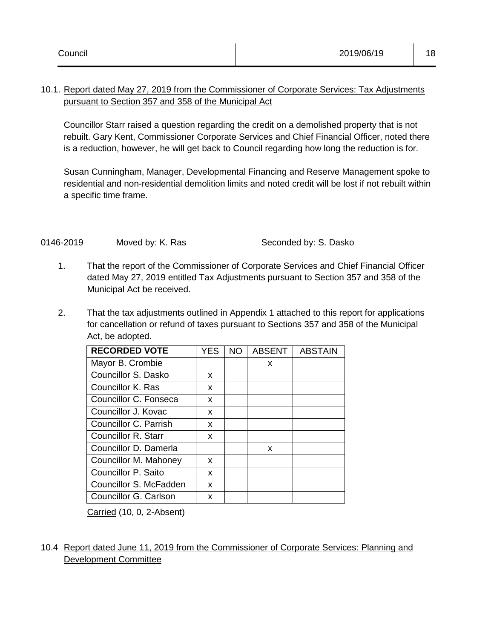# 10.1. Report dated May 27, 2019 from the Commissioner of Corporate Services: Tax Adjustments pursuant to Section 357 and 358 of the Municipal Act

Councillor Starr raised a question regarding the credit on a demolished property that is not rebuilt. Gary Kent, Commissioner Corporate Services and Chief Financial Officer, noted there is a reduction, however, he will get back to Council regarding how long the reduction is for.

Susan Cunningham, Manager, Developmental Financing and Reserve Management spoke to residential and non-residential demolition limits and noted credit will be lost if not rebuilt within a specific time frame.

# 0146-2019 Moved by: K. Ras Seconded by: S. Dasko

- 1. That the report of the Commissioner of Corporate Services and Chief Financial Officer dated May 27, 2019 entitled Tax Adjustments pursuant to Section 357 and 358 of the Municipal Act be received.
- 2. That the tax adjustments outlined in Appendix 1 attached to this report for applications for cancellation or refund of taxes pursuant to Sections 357 and 358 of the Municipal Act, be adopted.

| <b>RECORDED VOTE</b>   | YES | <b>NO</b> | <b>ABSENT</b> | <b>ABSTAIN</b> |
|------------------------|-----|-----------|---------------|----------------|
| Mayor B. Crombie       |     |           | x             |                |
| Councillor S. Dasko    | x   |           |               |                |
| Councillor K. Ras      | x   |           |               |                |
| Councillor C. Fonseca  | X   |           |               |                |
| Councillor J. Kovac    | X   |           |               |                |
| Councillor C. Parrish  | x   |           |               |                |
| Councillor R. Starr    | x   |           |               |                |
| Councillor D. Damerla  |     |           | X             |                |
| Councillor M. Mahoney  | x   |           |               |                |
| Councillor P. Saito    | x   |           |               |                |
| Councillor S. McFadden | X   |           |               |                |
| Councillor G. Carlson  | x   |           |               |                |

Carried (10, 0, 2-Absent)

# 10.4 Report dated June 11, 2019 from the Commissioner of Corporate Services: Planning and Development Committee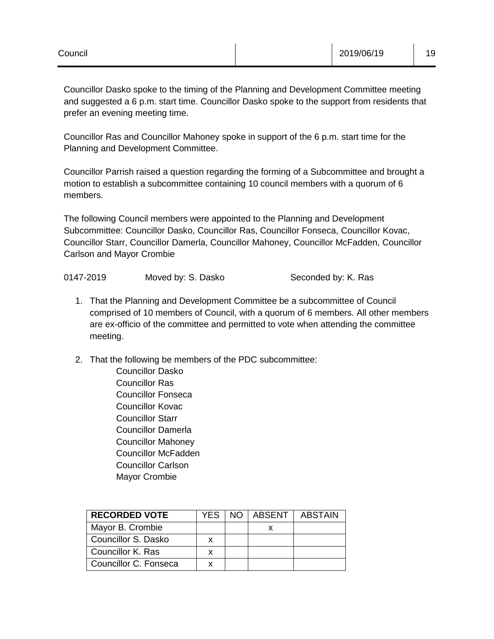Seconded by: K. Ras

Councillor Dasko spoke to the timing of the Planning and Development Committee meeting and suggested a 6 p.m. start time. Councillor Dasko spoke to the support from residents that prefer an evening meeting time.

Councillor Ras and Councillor Mahoney spoke in support of the 6 p.m. start time for the Planning and Development Committee.

Councillor Parrish raised a question regarding the forming of a Subcommittee and brought a motion to establish a subcommittee containing 10 council members with a quorum of 6 members.

The following Council members were appointed to the Planning and Development Subcommittee: Councillor Dasko, Councillor Ras, Councillor Fonseca, Councillor Kovac, Councillor Starr, Councillor Damerla, Councillor Mahoney, Councillor McFadden, Councillor Carlson and Mayor Crombie

| 0147-2019 | Moved by: S. Dasko |  |
|-----------|--------------------|--|
|-----------|--------------------|--|

- 1. That the Planning and Development Committee be a subcommittee of Council comprised of 10 members of Council, with a quorum of 6 members. All other members are ex-officio of the committee and permitted to vote when attending the committee meeting.
- 2. That the following be members of the PDC subcommittee:

Councillor Dasko Councillor Ras Councillor Fonseca Councillor Kovac Councillor Starr Councillor Damerla Councillor Mahoney Councillor McFadden Councillor Carlson Mayor Crombie

| <b>RECORDED VOTE</b>  | YFS. | NO. | I ABSENT | <b>ABSTAIN</b> |
|-----------------------|------|-----|----------|----------------|
| Mayor B. Crombie      |      |     |          |                |
| Councillor S. Dasko   |      |     |          |                |
| Councillor K. Ras     |      |     |          |                |
| Councillor C. Fonseca |      |     |          |                |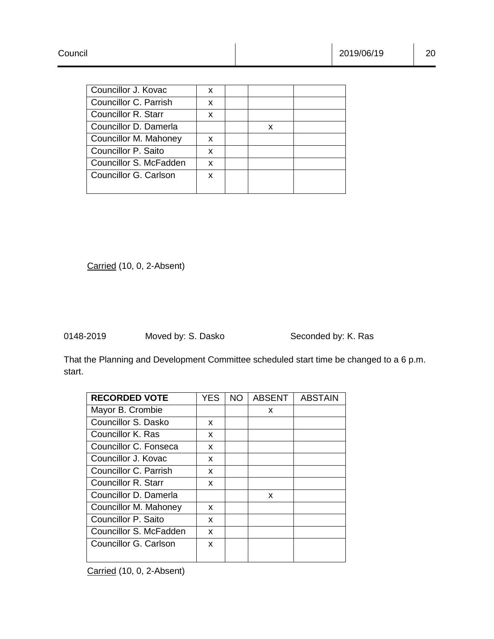| Councillor J. Kovac    | x |   |  |
|------------------------|---|---|--|
| Councillor C. Parrish  | x |   |  |
| Councillor R. Starr    | x |   |  |
| Councillor D. Damerla  |   | x |  |
| Councillor M. Mahoney  | x |   |  |
| Councillor P. Saito    | x |   |  |
| Councillor S. McFadden | x |   |  |
| Councillor G. Carlson  | x |   |  |
|                        |   |   |  |

0148-2019 Moved by: S. Dasko Seconded by: K. Ras

That the Planning and Development Committee scheduled start time be changed to a 6 p.m. start.

| <b>RECORDED VOTE</b>       | YES | <b>NO</b> | <b>ABSENT</b> | <b>ABSTAIN</b> |
|----------------------------|-----|-----------|---------------|----------------|
| Mayor B. Crombie           |     |           | X             |                |
| Councillor S. Dasko        | x   |           |               |                |
| Councillor K. Ras          | x   |           |               |                |
| Councillor C. Fonseca      | X   |           |               |                |
| Councillor J. Kovac        | x   |           |               |                |
| Councillor C. Parrish      | x   |           |               |                |
| <b>Councillor R. Starr</b> | x   |           |               |                |
| Councillor D. Damerla      |     |           | X             |                |
| Councillor M. Mahoney      | x   |           |               |                |
| Councillor P. Saito        | X   |           |               |                |
| Councillor S. McFadden     | x   |           |               |                |
| Councillor G. Carlson      | X   |           |               |                |
|                            |     |           |               |                |

Carried (10, 0, 2-Absent)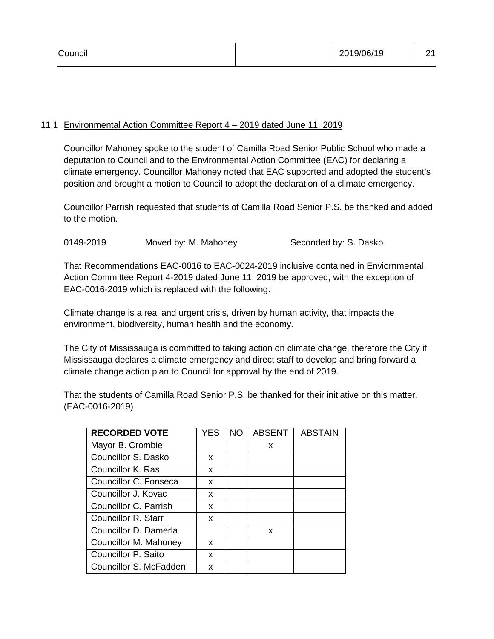# 11.1 Environmental Action Committee Report 4 – 2019 dated June 11, 2019

Councillor Mahoney spoke to the student of Camilla Road Senior Public School who made a deputation to Council and to the Environmental Action Committee (EAC) for declaring a climate emergency. Councillor Mahoney noted that EAC supported and adopted the student's position and brought a motion to Council to adopt the declaration of a climate emergency.

Councillor Parrish requested that students of Camilla Road Senior P.S. be thanked and added to the motion.

0149-2019 Moved by: M. Mahoney Seconded by: S. Dasko

That Recommendations EAC-0016 to EAC-0024-2019 inclusive contained in Enviornmental Action Committee Report 4-2019 dated June 11, 2019 be approved, with the exception of EAC-0016-2019 which is replaced with the following:

Climate change is a real and urgent crisis, driven by human activity, that impacts the environment, biodiversity, human health and the economy.

The City of Mississauga is committed to taking action on climate change, therefore the City if Mississauga declares a climate emergency and direct staff to develop and bring forward a climate change action plan to Council for approval by the end of 2019.

That the students of Camilla Road Senior P.S. be thanked for their initiative on this matter. (EAC-0016-2019)

| <b>RECORDED VOTE</b>   | YES | NO. | <b>ABSENT</b> | <b>ABSTAIN</b> |
|------------------------|-----|-----|---------------|----------------|
| Mayor B. Crombie       |     |     | x             |                |
| Councillor S. Dasko    | x   |     |               |                |
| Councillor K. Ras      | x   |     |               |                |
| Councillor C. Fonseca  | x   |     |               |                |
| Councillor J. Kovac    | x   |     |               |                |
| Councillor C. Parrish  | x   |     |               |                |
| Councillor R. Starr    | x   |     |               |                |
| Councillor D. Damerla  |     |     | x             |                |
| Councillor M. Mahoney  | x   |     |               |                |
| Councillor P. Saito    | x   |     |               |                |
| Councillor S. McFadden | x   |     |               |                |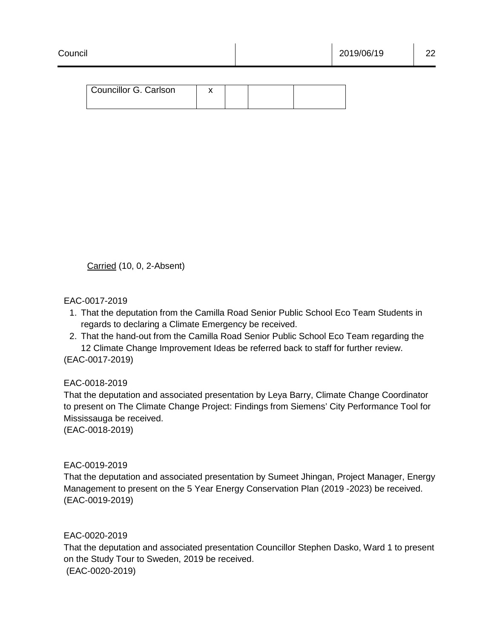# EAC-0017-2019

- 1. That the deputation from the Camilla Road Senior Public School Eco Team Students in regards to declaring a Climate Emergency be received.
- 2. That the hand-out from the Camilla Road Senior Public School Eco Team regarding the 12 Climate Change Improvement Ideas be referred back to staff for further review.

(EAC-0017-2019)

# EAC-0018-2019

That the deputation and associated presentation by Leya Barry, Climate Change Coordinator to present on The Climate Change Project: Findings from Siemens' City Performance Tool for Mississauga be received.

(EAC-0018-2019)

## EAC-0019-2019

That the deputation and associated presentation by Sumeet Jhingan, Project Manager, Energy Management to present on the 5 Year Energy Conservation Plan (2019 -2023) be received. (EAC-0019-2019)

## EAC-0020-2019

That the deputation and associated presentation Councillor Stephen Dasko, Ward 1 to present on the Study Tour to Sweden, 2019 be received. (EAC-0020-2019)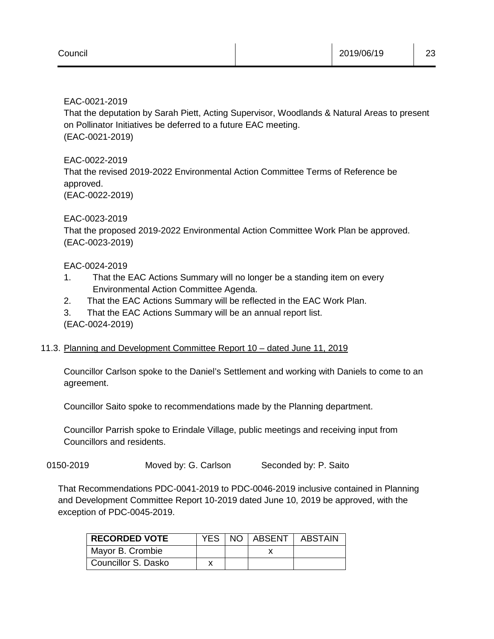EAC-0021-2019

That the deputation by Sarah Piett, Acting Supervisor, Woodlands & Natural Areas to present on Pollinator Initiatives be deferred to a future EAC meeting. (EAC-0021-2019)

EAC-0022-2019 That the revised 2019-2022 Environmental Action Committee Terms of Reference be approved. (EAC-0022-2019)

## EAC-0023-2019

That the proposed 2019-2022 Environmental Action Committee Work Plan be approved. (EAC-0023-2019)

# EAC-0024-2019

- 1. That the EAC Actions Summary will no longer be a standing item on every Environmental Action Committee Agenda.
- 2. That the EAC Actions Summary will be reflected in the EAC Work Plan.
- 3. That the EAC Actions Summary will be an annual report list. (EAC-0024-2019)

# 11.3. Planning and Development Committee Report 10 – dated June 11, 2019

Councillor Carlson spoke to the Daniel's Settlement and working with Daniels to come to an agreement.

Councillor Saito spoke to recommendations made by the Planning department.

Councillor Parrish spoke to Erindale Village, public meetings and receiving input from Councillors and residents.

0150-2019 Moved by: G. Carlson Seconded by: P. Saito

That Recommendations PDC-0041-2019 to PDC-0046-2019 inclusive contained in Planning and Development Committee Report 10-2019 dated June 10, 2019 be approved, with the exception of PDC-0045-2019.

| <b>RECORDED VOTE</b> |  | YES   NO   ABSENT | ABSTAIN |
|----------------------|--|-------------------|---------|
| Mayor B. Crombie     |  |                   |         |
| Councillor S. Dasko  |  |                   |         |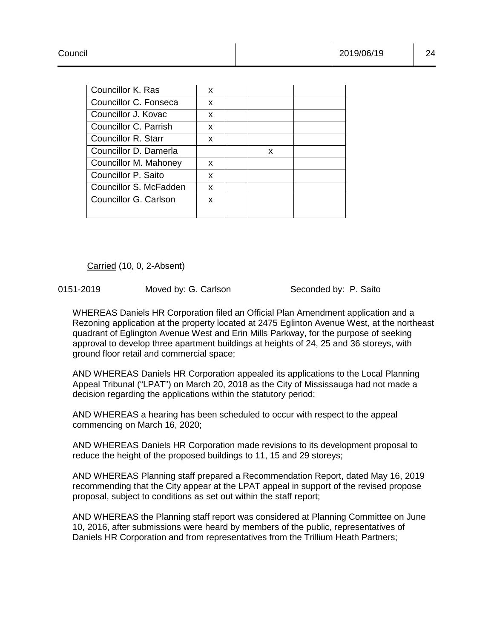| Councillor K. Ras      | x |   |  |
|------------------------|---|---|--|
| Councillor C. Fonseca  | X |   |  |
| Councillor J. Kovac    | x |   |  |
| Councillor C. Parrish  | X |   |  |
| Councillor R. Starr    | x |   |  |
| Councillor D. Damerla  |   | x |  |
| Councillor M. Mahoney  | x |   |  |
| Councillor P. Saito    | X |   |  |
| Councillor S. McFadden | X |   |  |
| Councillor G. Carlson  | x |   |  |
|                        |   |   |  |

0151-2019 Moved by: G. Carlson Seconded by: P. Saito

WHEREAS Daniels HR Corporation filed an Official Plan Amendment application and a Rezoning application at the property located at 2475 Eglinton Avenue West, at the northeast quadrant of Eglington Avenue West and Erin Mills Parkway, for the purpose of seeking approval to develop three apartment buildings at heights of 24, 25 and 36 storeys, with ground floor retail and commercial space;

AND WHEREAS Daniels HR Corporation appealed its applications to the Local Planning Appeal Tribunal ("LPAT") on March 20, 2018 as the City of Mississauga had not made a decision regarding the applications within the statutory period;

AND WHEREAS a hearing has been scheduled to occur with respect to the appeal commencing on March 16, 2020;

AND WHEREAS Daniels HR Corporation made revisions to its development proposal to reduce the height of the proposed buildings to 11, 15 and 29 storeys;

AND WHEREAS Planning staff prepared a Recommendation Report, dated May 16, 2019 recommending that the City appear at the LPAT appeal in support of the revised propose proposal, subject to conditions as set out within the staff report;

AND WHEREAS the Planning staff report was considered at Planning Committee on June 10, 2016, after submissions were heard by members of the public, representatives of Daniels HR Corporation and from representatives from the Trillium Heath Partners;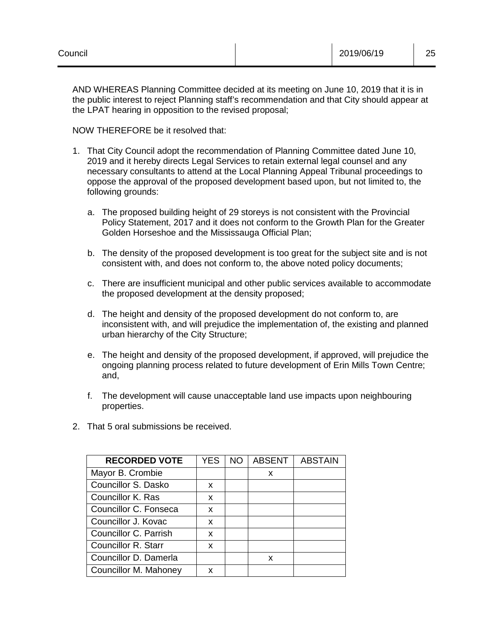AND WHEREAS Planning Committee decided at its meeting on June 10, 2019 that it is in the public interest to reject Planning staff's recommendation and that City should appear at the LPAT hearing in opposition to the revised proposal;

NOW THEREFORE be it resolved that:

- 1. That City Council adopt the recommendation of Planning Committee dated June 10, 2019 and it hereby directs Legal Services to retain external legal counsel and any necessary consultants to attend at the Local Planning Appeal Tribunal proceedings to oppose the approval of the proposed development based upon, but not limited to, the following grounds:
	- a. The proposed building height of 29 storeys is not consistent with the Provincial Policy Statement, 2017 and it does not conform to the Growth Plan for the Greater Golden Horseshoe and the Mississauga Official Plan;
	- b. The density of the proposed development is too great for the subject site and is not consistent with, and does not conform to, the above noted policy documents;
	- c. There are insufficient municipal and other public services available to accommodate the proposed development at the density proposed;
	- d. The height and density of the proposed development do not conform to, are inconsistent with, and will prejudice the implementation of, the existing and planned urban hierarchy of the City Structure;
	- e. The height and density of the proposed development, if approved, will prejudice the ongoing planning process related to future development of Erin Mills Town Centre; and,
	- f. The development will cause unacceptable land use impacts upon neighbouring properties.
- 2. That 5 oral submissions be received.

| <b>RECORDED VOTE</b>  | <b>YES</b> | NO. | <b>ABSENT</b> | <b>ABSTAIN</b> |
|-----------------------|------------|-----|---------------|----------------|
| Mayor B. Crombie      |            |     | x             |                |
| Councillor S. Dasko   | x          |     |               |                |
| Councillor K. Ras     | x          |     |               |                |
| Councillor C. Fonseca | x          |     |               |                |
| Councillor J. Kovac   | x          |     |               |                |
| Councillor C. Parrish | x          |     |               |                |
| Councillor R. Starr   | x          |     |               |                |
| Councillor D. Damerla |            |     | x             |                |
| Councillor M. Mahoney | x          |     |               |                |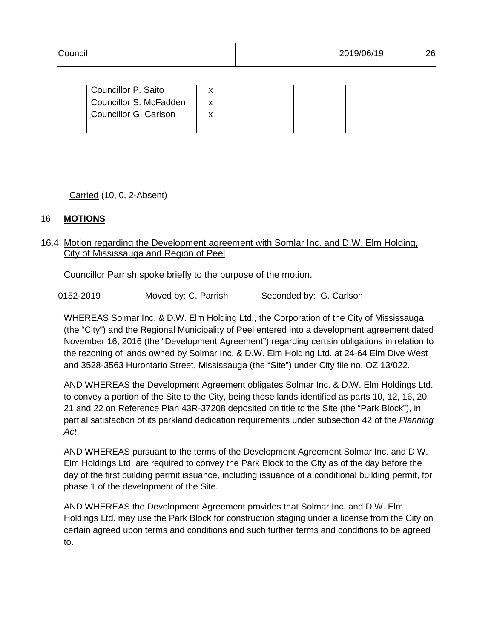| Councillor P. Saito    |  |  |
|------------------------|--|--|
| Councillor S. McFadden |  |  |
| Councillor G. Carlson  |  |  |

## 16. **MOTIONS**

# 16.4. Motion regarding the Development agreement with Somlar Inc. and D.W. Elm Holding, City of Mississauga and Region of Peel

Councillor Parrish spoke briefly to the purpose of the motion.

WHEREAS Solmar Inc. & D.W. Elm Holding Ltd., the Corporation of the City of Mississauga (the "City") and the Regional Municipality of Peel entered into a development agreement dated November 16, 2016 (the "Development Agreement") regarding certain obligations in relation to the rezoning of lands owned by Solmar Inc. & D.W. Elm Holding Ltd. at 24-64 Elm Dive West and 3528-3563 Hurontario Street, Mississauga (the "Site") under City file no. OZ 13/022.

AND WHEREAS the Development Agreement obligates Solmar Inc. & D.W. Elm Holdings Ltd. to convey a portion of the Site to the City, being those lands identified as parts 10, 12, 16, 20, 21 and 22 on Reference Plan 43R-37208 deposited on title to the Site (the "Park Block"), in partial satisfaction of its parkland dedication requirements under subsection 42 of the *Planning Act*.

AND WHEREAS pursuant to the terms of the Development Agreement Solmar Inc. and D.W. Elm Holdings Ltd. are required to convey the Park Block to the City as of the day before the day of the first building permit issuance, including issuance of a conditional building permit, for phase 1 of the development of the Site.

AND WHEREAS the Development Agreement provides that Solmar Inc. and D.W. Elm Holdings Ltd. may use the Park Block for construction staging under a license from the City on certain agreed upon terms and conditions and such further terms and conditions to be agreed to.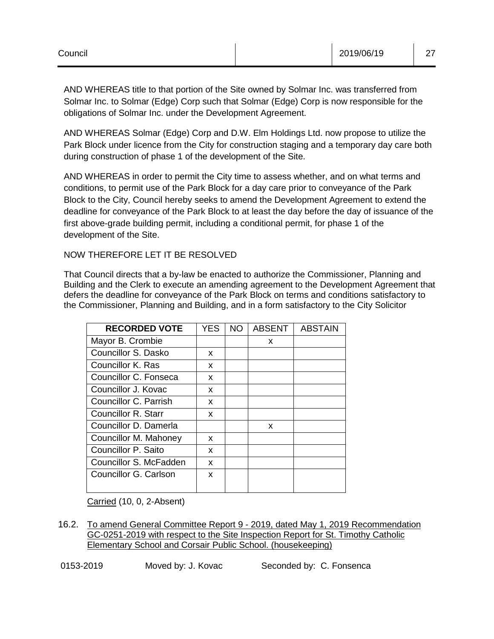AND WHEREAS title to that portion of the Site owned by Solmar Inc. was transferred from Solmar Inc. to Solmar (Edge) Corp such that Solmar (Edge) Corp is now responsible for the obligations of Solmar Inc. under the Development Agreement.

AND WHEREAS Solmar (Edge) Corp and D.W. Elm Holdings Ltd. now propose to utilize the Park Block under licence from the City for construction staging and a temporary day care both during construction of phase 1 of the development of the Site.

AND WHEREAS in order to permit the City time to assess whether, and on what terms and conditions, to permit use of the Park Block for a day care prior to conveyance of the Park Block to the City, Council hereby seeks to amend the Development Agreement to extend the deadline for conveyance of the Park Block to at least the day before the day of issuance of the first above-grade building permit, including a conditional permit, for phase 1 of the development of the Site.

# NOW THEREFORE LET IT BE RESOLVED

That Council directs that a by-law be enacted to authorize the Commissioner, Planning and Building and the Clerk to execute an amending agreement to the Development Agreement that defers the deadline for conveyance of the Park Block on terms and conditions satisfactory to the Commissioner, Planning and Building, and in a form satisfactory to the City Solicitor

| <b>RECORDED VOTE</b>       | YES. | NO. | <b>ABSENT</b> | <b>ABSTAIN</b> |
|----------------------------|------|-----|---------------|----------------|
| Mayor B. Crombie           |      |     | x             |                |
| Councillor S. Dasko        | x    |     |               |                |
| Councillor K. Ras          | x    |     |               |                |
| Councillor C. Fonseca      | X    |     |               |                |
| Councillor J. Kovac        | x    |     |               |                |
| Councillor C. Parrish      | x    |     |               |                |
| <b>Councillor R. Starr</b> | x    |     |               |                |
| Councillor D. Damerla      |      |     | x             |                |
| Councillor M. Mahoney      | x    |     |               |                |
| Councillor P. Saito        | x    |     |               |                |
| Councillor S. McFadden     | X    |     |               |                |
| Councillor G. Carlson      | X    |     |               |                |

Carried (10, 0, 2-Absent)

16.2. To amend General Committee Report 9 - 2019, dated May 1, 2019 Recommendation GC-0251-2019 with respect to the Site Inspection Report for St. Timothy Catholic Elementary School and Corsair Public School. (housekeeping)

0153-2019 Moved by: J. Kovac Seconded by: C. Fonsenca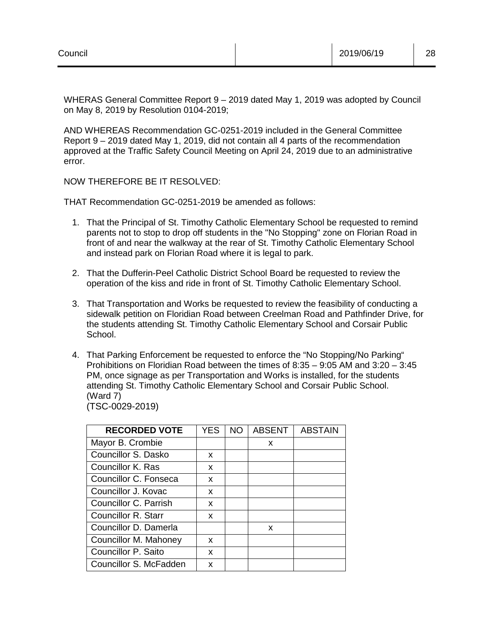WHERAS General Committee Report 9 – 2019 dated May 1, 2019 was adopted by Council on May 8, 2019 by Resolution 0104-2019;

AND WHEREAS Recommendation GC-0251-2019 included in the General Committee Report 9 – 2019 dated May 1, 2019, did not contain all 4 parts of the recommendation approved at the Traffic Safety Council Meeting on April 24, 2019 due to an administrative error.

NOW THEREFORE BE IT RESOLVED:

THAT Recommendation GC-0251-2019 be amended as follows:

- 1. That the Principal of St. Timothy Catholic Elementary School be requested to remind parents not to stop to drop off students in the "No Stopping" zone on Florian Road in front of and near the walkway at the rear of St. Timothy Catholic Elementary School and instead park on Florian Road where it is legal to park.
- 2. That the Dufferin-Peel Catholic District School Board be requested to review the operation of the kiss and ride in front of St. Timothy Catholic Elementary School.
- 3. That Transportation and Works be requested to review the feasibility of conducting a sidewalk petition on Floridian Road between Creelman Road and Pathfinder Drive, for the students attending St. Timothy Catholic Elementary School and Corsair Public School.
- 4. That Parking Enforcement be requested to enforce the "No Stopping/No Parking" Prohibitions on Floridian Road between the times of 8:35 – 9:05 AM and 3:20 – 3:45 PM, once signage as per Transportation and Works is installed, for the students attending St. Timothy Catholic Elementary School and Corsair Public School. (Ward 7) (TSC-0029-2019)

| <b>RECORDED VOTE</b>   | <b>YES</b> | <b>NO</b> | <b>ABSENT</b> | <b>ABSTAIN</b> |
|------------------------|------------|-----------|---------------|----------------|
| Mayor B. Crombie       |            |           | x             |                |
| Councillor S. Dasko    | x          |           |               |                |
| Councillor K. Ras      | x          |           |               |                |
| Councillor C. Fonseca  | X          |           |               |                |
| Councillor J. Kovac    | x          |           |               |                |
| Councillor C. Parrish  | x          |           |               |                |
| Councillor R. Starr    | x          |           |               |                |
| Councillor D. Damerla  |            |           | X             |                |
| Councillor M. Mahoney  | x          |           |               |                |
| Councillor P. Saito    | x          |           |               |                |
| Councillor S. McFadden | x          |           |               |                |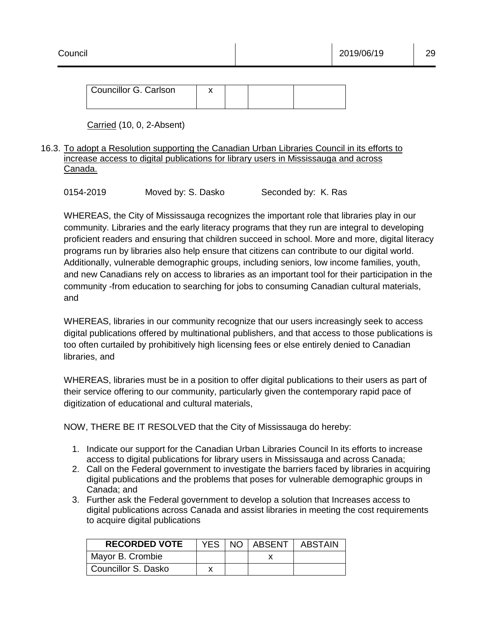# 16.3. To adopt a Resolution supporting the Canadian Urban Libraries Council in its efforts to increase access to digital publications for library users in Mississauga and across Canada.

| 0154-2019 | Moved by: S. Dasko | Seconded by: K. Ras |
|-----------|--------------------|---------------------|
|-----------|--------------------|---------------------|

WHEREAS, the City of Mississauga recognizes the important role that libraries play in our community. Libraries and the early literacy programs that they run are integral to developing proficient readers and ensuring that children succeed in school. More and more, digital literacy programs run by libraries also help ensure that citizens can contribute to our digital world. Additionally, vulnerable demographic groups, including seniors, low income families, youth, and new Canadians rely on access to libraries as an important tool for their participation in the community -from education to searching for jobs to consuming Canadian cultural materials, and

WHEREAS, libraries in our community recognize that our users increasingly seek to access digital publications offered by multinational publishers, and that access to those publications is too often curtailed by prohibitively high licensing fees or else entirely denied to Canadian libraries, and

WHEREAS, libraries must be in a position to offer digital publications to their users as part of their service offering to our community, particularly given the contemporary rapid pace of digitization of educational and cultural materials,

NOW, THERE BE IT RESOLVED that the City of Mississauga do hereby:

- 1. Indicate our support for the Canadian Urban Libraries Council In its efforts to increase access to digital publications for library users in Mississauga and across Canada;
- 2. Call on the Federal government to investigate the barriers faced by libraries in acquiring digital publications and the problems that poses for vulnerable demographic groups in Canada; and
- 3. Further ask the Federal government to develop a solution that Increases access to digital publications across Canada and assist libraries in meeting the cost requirements to acquire digital publications

| <b>RECORDED VOTE</b> |  | YES   NO   ABSENT   ABSTAIN |
|----------------------|--|-----------------------------|
| Mayor B. Crombie     |  |                             |
| Councillor S. Dasko  |  |                             |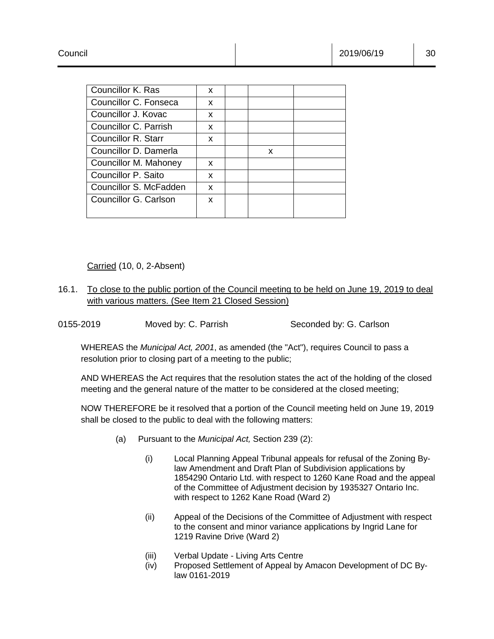| Councillor K. Ras      | X |   |  |  |
|------------------------|---|---|--|--|
| Councillor C. Fonseca  | X |   |  |  |
| Councillor J. Kovac    | X |   |  |  |
| Councillor C. Parrish  | X |   |  |  |
| Councillor R. Starr    | x |   |  |  |
| Councillor D. Damerla  |   | x |  |  |
| Councillor M. Mahoney  | x |   |  |  |
| Councillor P. Saito    | x |   |  |  |
| Councillor S. McFadden | X |   |  |  |
| Councillor G. Carlson  | x |   |  |  |
|                        |   |   |  |  |
|                        |   |   |  |  |

- 16.1. To close to the public portion of the Council meeting to be held on June 19, 2019 to deal with various matters. (See Item 21 Closed Session)
- 0155-2019 Moved by: C. Parrish Seconded by: G. Carlson

WHEREAS the *Municipal Act, 2001*, as amended (the "Act"), requires Council to pass a resolution prior to closing part of a meeting to the public;

AND WHEREAS the Act requires that the resolution states the act of the holding of the closed meeting and the general nature of the matter to be considered at the closed meeting;

NOW THEREFORE be it resolved that a portion of the Council meeting held on June 19, 2019 shall be closed to the public to deal with the following matters:

- (a) Pursuant to the *Municipal Act,* Section 239 (2):
	- (i) Local Planning Appeal Tribunal appeals for refusal of the Zoning Bylaw Amendment and Draft Plan of Subdivision applications by 1854290 Ontario Ltd. with respect to 1260 Kane Road and the appeal of the Committee of Adjustment decision by 1935327 Ontario Inc. with respect to 1262 Kane Road (Ward 2)
	- (ii) Appeal of the Decisions of the Committee of Adjustment with respect to the consent and minor variance applications by Ingrid Lane for 1219 Ravine Drive (Ward 2)
	- (iii) Verbal Update Living Arts Centre
	- (iv) Proposed Settlement of Appeal by Amacon Development of DC Bylaw 0161-2019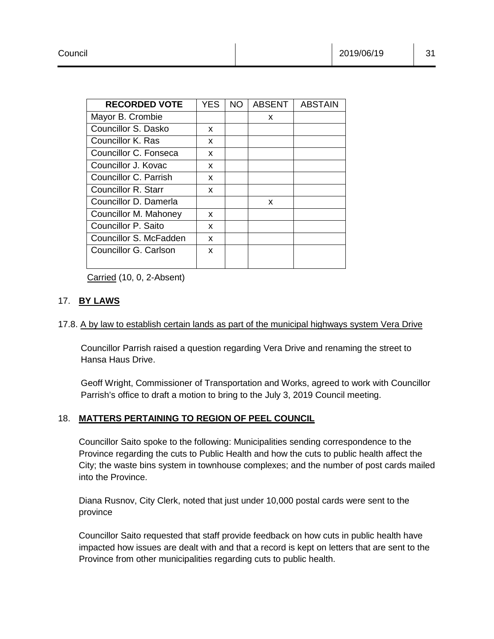| <b>RECORDED VOTE</b>   | <b>YES</b> | NO. | <b>ABSENT</b> | <b>ABSTAIN</b> |
|------------------------|------------|-----|---------------|----------------|
| Mayor B. Crombie       |            |     | X             |                |
| Councillor S. Dasko    | x          |     |               |                |
| Councillor K. Ras      | x          |     |               |                |
| Councillor C. Fonseca  | X          |     |               |                |
| Councillor J. Kovac    | x          |     |               |                |
| Councillor C. Parrish  | X          |     |               |                |
| Councillor R. Starr    | x          |     |               |                |
| Councillor D. Damerla  |            |     | x             |                |
| Councillor M. Mahoney  | x          |     |               |                |
| Councillor P. Saito    | x          |     |               |                |
| Councillor S. McFadden | x          |     |               |                |
| Councillor G. Carlson  | x          |     |               |                |

# 17. **BY LAWS**

# 17.8. A by law to establish certain lands as part of the municipal highways system Vera Drive

Councillor Parrish raised a question regarding Vera Drive and renaming the street to Hansa Haus Drive.

Geoff Wright, Commissioner of Transportation and Works, agreed to work with Councillor Parrish's office to draft a motion to bring to the July 3, 2019 Council meeting.

# 18. **MATTERS PERTAINING TO REGION OF PEEL COUNCIL**

Councillor Saito spoke to the following: Municipalities sending correspondence to the Province regarding the cuts to Public Health and how the cuts to public health affect the City; the waste bins system in townhouse complexes; and the number of post cards mailed into the Province.

Diana Rusnov, City Clerk, noted that just under 10,000 postal cards were sent to the province

Councillor Saito requested that staff provide feedback on how cuts in public health have impacted how issues are dealt with and that a record is kept on letters that are sent to the Province from other municipalities regarding cuts to public health.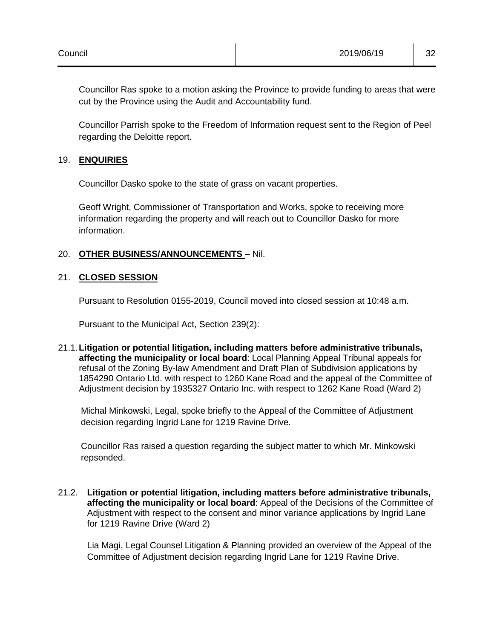Councillor Ras spoke to a motion asking the Province to provide funding to areas that were cut by the Province using the Audit and Accountability fund.

Councillor Parrish spoke to the Freedom of Information request sent to the Region of Peel regarding the Deloitte report.

## 19. **ENQUIRIES**

Councillor Dasko spoke to the state of grass on vacant properties.

Geoff Wright, Commissioner of Transportation and Works, spoke to receiving more information regarding the property and will reach out to Councillor Dasko for more information.

# 20. **OTHER BUSINESS/ANNOUNCEMENTS** – Nil.

# 21. **CLOSED SESSION**

Pursuant to Resolution 0155-2019, Council moved into closed session at 10:48 a.m.

Pursuant to the Municipal Act, Section 239(2):

21.1.**Litigation or potential litigation, including matters before administrative tribunals, affecting the municipality or local board**: Local Planning Appeal Tribunal appeals for refusal of the Zoning By-law Amendment and Draft Plan of Subdivision applications by 1854290 Ontario Ltd. with respect to 1260 Kane Road and the appeal of the Committee of Adjustment decision by 1935327 Ontario Inc. with respect to 1262 Kane Road (Ward 2)

Michal Minkowski, Legal, spoke briefly to the Appeal of the Committee of Adjustment decision regarding Ingrid Lane for 1219 Ravine Drive.

Councillor Ras raised a question regarding the subject matter to which Mr. Minkowski repsonded.

21.2. **Litigation or potential litigation, including matters before administrative tribunals, affecting the municipality or local board**: Appeal of the Decisions of the Committee of Adjustment with respect to the consent and minor variance applications by Ingrid Lane for 1219 Ravine Drive (Ward 2)

Lia Magi, Legal Counsel Litigation & Planning provided an overview of the Appeal of the Committee of Adjustment decision regarding Ingrid Lane for 1219 Ravine Drive.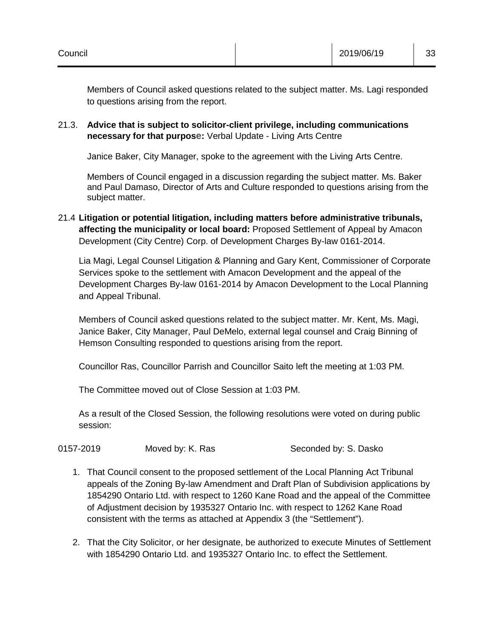Members of Council asked questions related to the subject matter. Ms. Lagi responded to questions arising from the report.

# 21.3. **Advice that is subject to solicitor-client privilege, including communications necessary for that purpose:** Verbal Update - Living Arts Centre

Janice Baker, City Manager, spoke to the agreement with the Living Arts Centre.

Members of Council engaged in a discussion regarding the subject matter. Ms. Baker and Paul Damaso, Director of Arts and Culture responded to questions arising from the subject matter.

# 21.4 **Litigation or potential litigation, including matters before administrative tribunals, affecting the municipality or local board:** Proposed Settlement of Appeal by Amacon Development (City Centre) Corp. of Development Charges By-law 0161-2014.

Lia Magi, Legal Counsel Litigation & Planning and Gary Kent, Commissioner of Corporate Services spoke to the settlement with Amacon Development and the appeal of the Development Charges By-law 0161-2014 by Amacon Development to the Local Planning and Appeal Tribunal.

Members of Council asked questions related to the subject matter. Mr. Kent, Ms. Magi, Janice Baker, City Manager, Paul DeMelo, external legal counsel and Craig Binning of Hemson Consulting responded to questions arising from the report.

Councillor Ras, Councillor Parrish and Councillor Saito left the meeting at 1:03 PM.

The Committee moved out of Close Session at 1:03 PM.

As a result of the Closed Session, the following resolutions were voted on during public session:

| 0157-2019 | Moved by: K. Ras | Seconded by: S. Dasko |
|-----------|------------------|-----------------------|
|           |                  |                       |

- 1. That Council consent to the proposed settlement of the Local Planning Act Tribunal appeals of the Zoning By-law Amendment and Draft Plan of Subdivision applications by 1854290 Ontario Ltd. with respect to 1260 Kane Road and the appeal of the Committee of Adjustment decision by 1935327 Ontario Inc. with respect to 1262 Kane Road consistent with the terms as attached at Appendix 3 (the "Settlement").
- 2. That the City Solicitor, or her designate, be authorized to execute Minutes of Settlement with 1854290 Ontario Ltd. and 1935327 Ontario Inc. to effect the Settlement.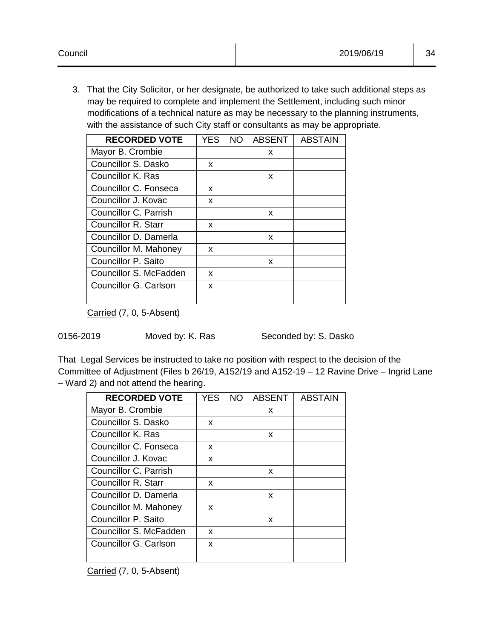3. That the City Solicitor, or her designate, be authorized to take such additional steps as may be required to complete and implement the Settlement, including such minor modifications of a technical nature as may be necessary to the planning instruments, with the assistance of such City staff or consultants as may be appropriate.

| <b>RECORDED VOTE</b>   | YES | NO. | ABSENT | <b>ABSTAIN</b> |
|------------------------|-----|-----|--------|----------------|
| Mayor B. Crombie       |     |     | x      |                |
| Councillor S. Dasko    | x   |     |        |                |
| Councillor K. Ras      |     |     | x      |                |
| Councillor C. Fonseca  | x   |     |        |                |
| Councillor J. Kovac    | x   |     |        |                |
| Councillor C. Parrish  |     |     | x      |                |
| Councillor R. Starr    | x   |     |        |                |
| Councillor D. Damerla  |     |     | X      |                |
| Councillor M. Mahoney  | x   |     |        |                |
| Councillor P. Saito    |     |     | x      |                |
| Councillor S. McFadden | x   |     |        |                |
| Councillor G. Carlson  | X   |     |        |                |

Carried (7, 0, 5-Absent)

|  |  | 0156-2019 |  |
|--|--|-----------|--|
|--|--|-----------|--|

Moved by: K. Ras Seconded by: S. Dasko

That Legal Services be instructed to take no position with respect to the decision of the Committee of Adjustment (Files b 26/19, A152/19 and A152-19 – 12 Ravine Drive – Ingrid Lane – Ward 2) and not attend the hearing.

| <b>RECORDED VOTE</b>       | YES | NO. | <b>ABSENT</b> | <b>ABSTAIN</b> |
|----------------------------|-----|-----|---------------|----------------|
| Mayor B. Crombie           |     |     | x             |                |
| Councillor S. Dasko        | x   |     |               |                |
| Councillor K. Ras          |     |     | X             |                |
| Councillor C. Fonseca      | x   |     |               |                |
| Councillor J. Kovac        | x   |     |               |                |
| Councillor C. Parrish      |     |     | x             |                |
| <b>Councillor R. Starr</b> | x   |     |               |                |
| Councillor D. Damerla      |     |     | X             |                |
| Councillor M. Mahoney      | x   |     |               |                |
| Councillor P. Saito        |     |     | x             |                |
| Councillor S. McFadden     | x   |     |               |                |
| Councillor G. Carlson      | x   |     |               |                |
|                            |     |     |               |                |

Carried (7, 0, 5-Absent)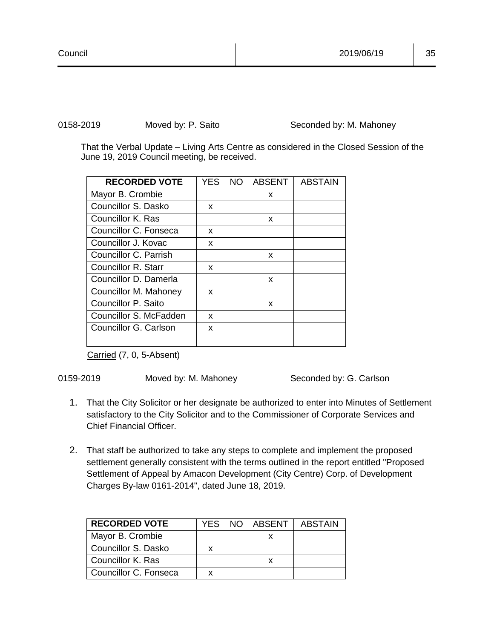0158-2019 Moved by: P. Saito Seconded by: M. Mahoney

That the Verbal Update – Living Arts Centre as considered in the Closed Session of the June 19, 2019 Council meeting, be received.

| <b>RECORDED VOTE</b>   | <b>YES</b> | <b>NO</b> | <b>ABSENT</b> | <b>ABSTAIN</b> |
|------------------------|------------|-----------|---------------|----------------|
| Mayor B. Crombie       |            |           | x             |                |
| Councillor S. Dasko    | x          |           |               |                |
| Councillor K. Ras      |            |           | x             |                |
| Councillor C. Fonseca  | x          |           |               |                |
| Councillor J. Kovac    | x          |           |               |                |
| Councillor C. Parrish  |            |           | x             |                |
| Councillor R. Starr    | x          |           |               |                |
| Councillor D. Damerla  |            |           | x             |                |
| Councillor M. Mahoney  | x          |           |               |                |
| Councillor P. Saito    |            |           | X             |                |
| Councillor S. McFadden | X          |           |               |                |
| Councillor G. Carlson  | X          |           |               |                |
|                        |            |           |               |                |

Carried (7, 0, 5-Absent)

0159-2019 Moved by: M. Mahoney Seconded by: G. Carlson

- 1. That the City Solicitor or her designate be authorized to enter into Minutes of Settlement satisfactory to the City Solicitor and to the Commissioner of Corporate Services and Chief Financial Officer.
- 2. That staff be authorized to take any steps to complete and implement the proposed settlement generally consistent with the terms outlined in the report entitled "Proposed Settlement of Appeal by Amacon Development (City Centre) Corp. of Development Charges By-law 0161-2014", dated June 18, 2019.

| <b>RECORDED VOTE</b>  | YES | NO. | I ABSENT | ABSTAIN |
|-----------------------|-----|-----|----------|---------|
| Mayor B. Crombie      |     |     |          |         |
| Councillor S. Dasko   |     |     |          |         |
| Councillor K. Ras     |     |     |          |         |
| Councillor C. Fonseca |     |     |          |         |